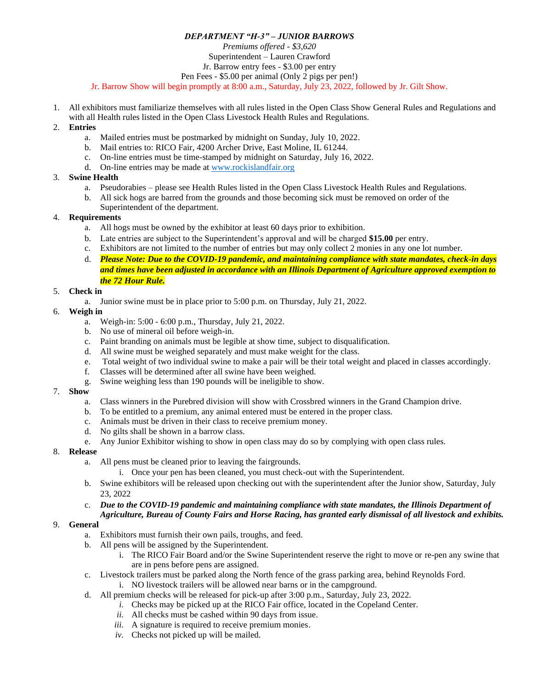# *DEPARTMENT "H-3" – JUNIOR BARROWS*

*Premiums offered - \$3,620*

Superintendent – Lauren Crawford Jr. Barrow entry fees - \$3.00 per entry

Pen Fees - \$5.00 per animal (Only 2 pigs per pen!)

Jr. Barrow Show will begin promptly at 8:00 a.m., Saturday, July 23, 2022, followed by Jr. Gilt Show.

- 1. All exhibitors must familiarize themselves with all rules listed in the Open Class Show General Rules and Regulations and with all Health rules listed in the Open Class Livestock Health Rules and Regulations.
- 2. **Entries** 
	- a. Mailed entries must be postmarked by midnight on Sunday, July 10, 2022.
	- b. Mail entries to: RICO Fair, 4200 Archer Drive, East Moline, IL 61244.
	- c. On-line entries must be time-stamped by midnight on Saturday, July 16, 2022.
	- d. On-line entries may be made at [www.rockislandfair.org](http://www.rockislandfair.org/)
- 3. **Swine Health**
	- a. Pseudorabies please see Health Rules listed in the Open Class Livestock Health Rules and Regulations.
	- b. All sick hogs are barred from the grounds and those becoming sick must be removed on order of the Superintendent of the department.

# 4. **Requirements**

- a. All hogs must be owned by the exhibitor at least 60 days prior to exhibition.
- b. Late entries are subject to the Superintendent's approval and will be charged **\$15.00** per entry.
- c. Exhibitors are not limited to the number of entries but may only collect 2 monies in any one lot number.
- d. *Please Note: Due to the COVID-19 pandemic, and maintaining compliance with state mandates, check-in days and times have been adjusted in accordance with an Illinois Department of Agriculture approved exemption to the 72 Hour Rule.*

# 5. **Check in**

a. Junior swine must be in place prior to 5:00 p.m. on Thursday, July 21, 2022.

### 6. **Weigh in**

- a. Weigh-in: 5:00 6:00 p.m., Thursday, July 21, 2022.
- b. No use of mineral oil before weigh-in.
- c. Paint branding on animals must be legible at show time, subject to disqualification.
- d. All swine must be weighed separately and must make weight for the class.
- e. Total weight of two individual swine to make a pair will be their total weight and placed in classes accordingly.
- f. Classes will be determined after all swine have been weighed.
- g. Swine weighing less than 190 pounds will be ineligible to show.

### 7. **Show**

- a. Class winners in the Purebred division will show with Crossbred winners in the Grand Champion drive.
- b. To be entitled to a premium, any animal entered must be entered in the proper class.
- c. Animals must be driven in their class to receive premium money.
- d. No gilts shall be shown in a barrow class.
- e. Any Junior Exhibitor wishing to show in open class may do so by complying with open class rules.

### 8. **Release**

- a. All pens must be cleaned prior to leaving the fairgrounds.
	- i. Once your pen has been cleaned, you must check-out with the Superintendent.
- b. Swine exhibitors will be released upon checking out with the superintendent after the Junior show, Saturday, July 23, 2022

#### c. *Due to the COVID-19 pandemic and maintaining compliance with state mandates, the Illinois Department of Agriculture, Bureau of County Fairs and Horse Racing, has granted early dismissal of all livestock and exhibits.*

### 9. **General**

- a. Exhibitors must furnish their own pails, troughs, and feed.
- b. All pens will be assigned by the Superintendent.
	- i. The RICO Fair Board and/or the Swine Superintendent reserve the right to move or re-pen any swine that are in pens before pens are assigned.
- c. Livestock trailers must be parked along the North fence of the grass parking area, behind Reynolds Ford. i. NO livestock trailers will be allowed near barns or in the campground.
- d. All premium checks will be released for pick-up after 3:00 p.m., Saturday, July 23, 2022.
	- *i.* Checks may be picked up at the RICO Fair office, located in the Copeland Center.
	- *ii.* All checks must be cashed within 90 days from issue.
	- *iii.* A signature is required to receive premium monies.
	- *iv.* Checks not picked up will be mailed*.*